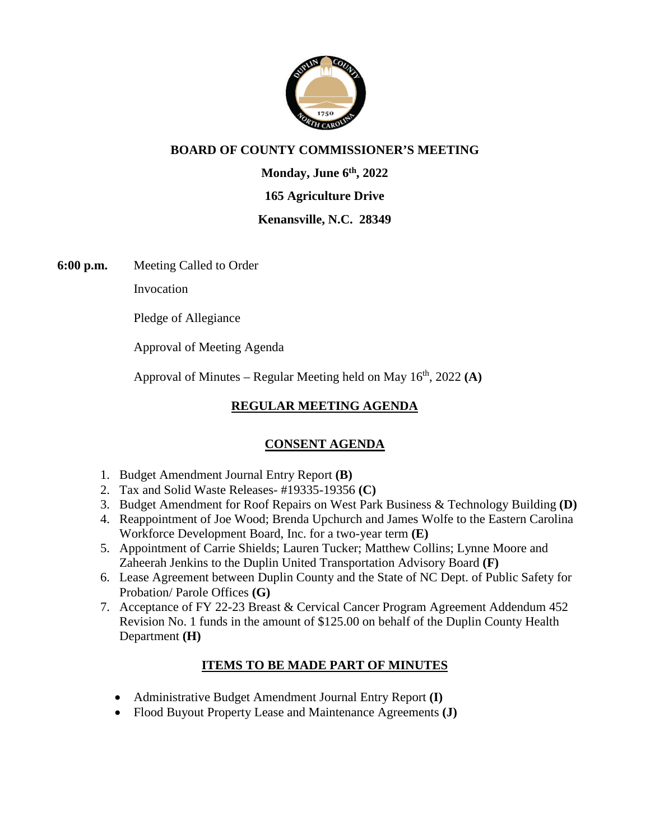

### **BOARD OF COUNTY COMMISSIONER'S MEETING**

**Monday, June 6th, 2022** 

### **165 Agriculture Drive**

#### **Kenansville, N.C. 28349**

**6:00 p.m.** Meeting Called to Order

Invocation

Pledge of Allegiance

Approval of Meeting Agenda

Approval of Minutes – Regular Meeting held on May 16<sup>th</sup>, 2022 (A)

## **REGULAR MEETING AGENDA**

# **CONSENT AGENDA**

- 1. Budget Amendment Journal Entry Report **(B)**
- 2. Tax and Solid Waste Releases- #19335-19356 **(C)**
- 3. Budget Amendment for Roof Repairs on West Park Business & Technology Building **(D)**
- 4. Reappointment of Joe Wood; Brenda Upchurch and James Wolfe to the Eastern Carolina Workforce Development Board, Inc. for a two-year term **(E)**
- 5. Appointment of Carrie Shields; Lauren Tucker; Matthew Collins; Lynne Moore and Zaheerah Jenkins to the Duplin United Transportation Advisory Board **(F)**
- 6. Lease Agreement between Duplin County and the State of NC Dept. of Public Safety for Probation/ Parole Offices **(G)**
- 7. Acceptance of FY 22-23 Breast & Cervical Cancer Program Agreement Addendum 452 Revision No. 1 funds in the amount of \$125.00 on behalf of the Duplin County Health Department **(H)**

### **ITEMS TO BE MADE PART OF MINUTES**

- Administrative Budget Amendment Journal Entry Report **(I)**
- Flood Buyout Property Lease and Maintenance Agreements **(J)**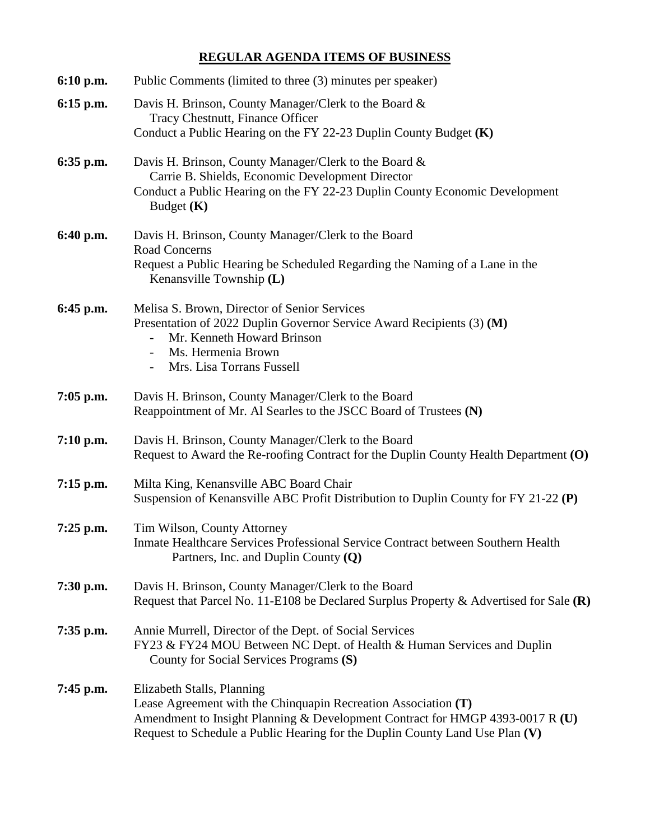### **REGULAR AGENDA ITEMS OF BUSINESS**

| $6:10$ p.m. | Public Comments (limited to three (3) minutes per speaker)                                                                                                                                                                                                    |
|-------------|---------------------------------------------------------------------------------------------------------------------------------------------------------------------------------------------------------------------------------------------------------------|
| $6:15$ p.m. | Davis H. Brinson, County Manager/Clerk to the Board &<br>Tracy Chestnutt, Finance Officer                                                                                                                                                                     |
|             | Conduct a Public Hearing on the FY 22-23 Duplin County Budget $(K)$                                                                                                                                                                                           |
| 6:35 p.m.   | Davis H. Brinson, County Manager/Clerk to the Board &<br>Carrie B. Shields, Economic Development Director<br>Conduct a Public Hearing on the FY 22-23 Duplin County Economic Development<br>Budget $(K)$                                                      |
|             |                                                                                                                                                                                                                                                               |
| 6:40 p.m.   | Davis H. Brinson, County Manager/Clerk to the Board                                                                                                                                                                                                           |
|             | <b>Road Concerns</b><br>Request a Public Hearing be Scheduled Regarding the Naming of a Lane in the<br>Kenansville Township (L)                                                                                                                               |
| 6:45 p.m.   | Melisa S. Brown, Director of Senior Services<br>Presentation of 2022 Duplin Governor Service Award Recipients (3) (M)<br>Mr. Kenneth Howard Brinson<br>Ms. Hermenia Brown<br>$\overline{\phantom{a}}$<br>Mrs. Lisa Torrans Fussell                            |
| $7:05$ p.m. | Davis H. Brinson, County Manager/Clerk to the Board<br>Reappointment of Mr. Al Searles to the JSCC Board of Trustees (N)                                                                                                                                      |
| $7:10$ p.m. | Davis H. Brinson, County Manager/Clerk to the Board<br>Request to Award the Re-roofing Contract for the Duplin County Health Department (O)                                                                                                                   |
| $7:15$ p.m. | Milta King, Kenansville ABC Board Chair<br>Suspension of Kenansville ABC Profit Distribution to Duplin County for FY 21-22 (P)                                                                                                                                |
| $7:25$ p.m. | Tim Wilson, County Attorney<br>Inmate Healthcare Services Professional Service Contract between Southern Health<br>Partners, Inc. and Duplin County $(Q)$                                                                                                     |
| $7:30$ p.m. | Davis H. Brinson, County Manager/Clerk to the Board<br>Request that Parcel No. 11-E108 be Declared Surplus Property & Advertised for Sale $(R)$                                                                                                               |
| $7:35$ p.m. | Annie Murrell, Director of the Dept. of Social Services<br>FY23 & FY24 MOU Between NC Dept. of Health & Human Services and Duplin<br>County for Social Services Programs (S)                                                                                  |
| $7:45$ p.m. | Elizabeth Stalls, Planning<br>Lease Agreement with the Chinquapin Recreation Association (T)<br>Amendment to Insight Planning & Development Contract for HMGP 4393-0017 R (U)<br>Request to Schedule a Public Hearing for the Duplin County Land Use Plan (V) |